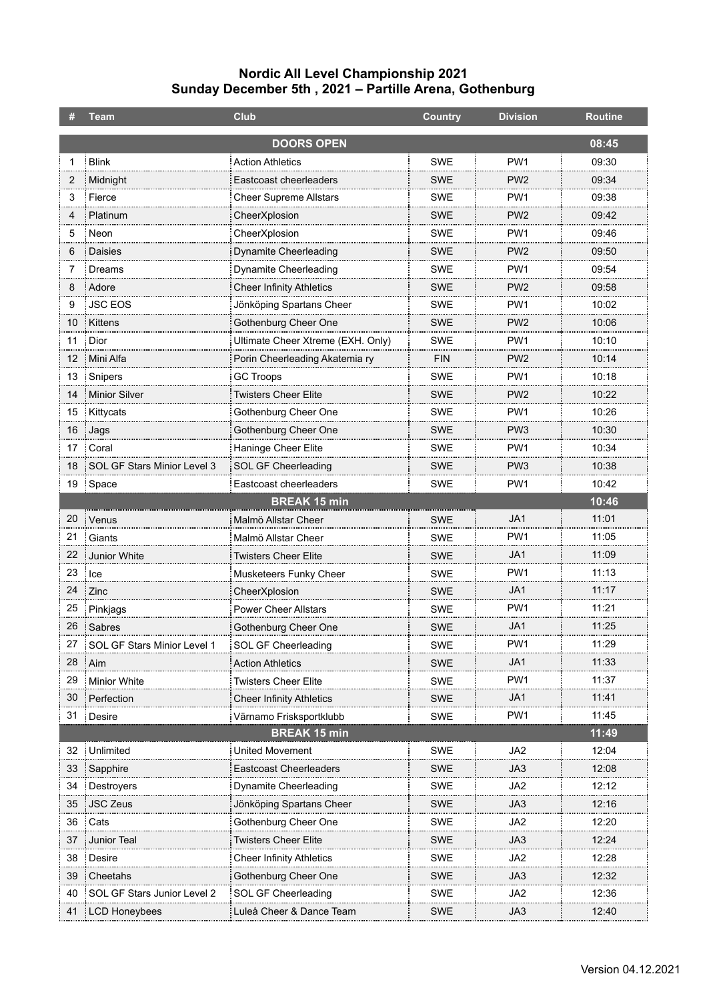## **Nordic All Level Championship 2021 Sunday December 5th , 2021 – Partille Arena, Gothenburg**

|    | <b>Team</b>                 | <b>Club</b>                       | <b>Country</b> | <b>Division</b> | <b>Routine</b> |
|----|-----------------------------|-----------------------------------|----------------|-----------------|----------------|
|    |                             | <b>DOORS OPEN</b>                 |                |                 | 08:45          |
|    | <b>Blink</b>                | <b>Action Athletics</b>           | <b>SWE</b>     | PW <sub>1</sub> | 09:30          |
| 2  | Midnight                    | Eastcoast cheerleaders            | <b>SWE</b>     | PW <sub>2</sub> | 09:34          |
| 3  | Fierce                      | <b>Cheer Supreme Allstars</b>     | SWE            | PW <sub>1</sub> | 09:38          |
| 4  | Platinum                    | CheerXplosion                     | <b>SWE</b>     | PW <sub>2</sub> | 09:42          |
| 5  | Neon                        | CheerXplosion                     | SWE            | PW <sub>1</sub> | 09:46          |
| 6  | <b>Daisies</b>              | <b>Dynamite Cheerleading</b>      | <b>SWE</b>     | PW <sub>2</sub> | 09:50          |
| 7  | Dreams                      | Dynamite Cheerleading             | SWE            | PW <sub>1</sub> | 09:54          |
| 8  | Adore                       | <b>Cheer Infinity Athletics</b>   | <b>SWE</b>     | PW <sub>2</sub> | 09:58          |
| 9  | <b>JSC EOS</b>              | Jönköping Spartans Cheer          | SWE            | PW <sub>1</sub> | 10:02          |
| 10 | Kittens                     | Gothenburg Cheer One              | <b>SWE</b>     | PW <sub>2</sub> | 10:06          |
| 11 | Dior                        | Ultimate Cheer Xtreme (EXH. Only) | <b>SWE</b>     | PW1             | 10:10          |
| 12 | Mini Alfa                   | Porin Cheerleading Akatemia ry    | <b>FIN</b>     | PW <sub>2</sub> | 10:14          |
| 13 | Snipers                     | <b>GC Troops</b>                  | SWE            | PW <sub>1</sub> | 10:18          |
| 14 | Minior Silver               | <b>Twisters Cheer Elite</b>       | <b>SWE</b>     | PW <sub>2</sub> | 10:22          |
| 15 | Kittycats                   | Gothenburg Cheer One              | <b>SWE</b>     | PW <sub>1</sub> | 10:26          |
| 16 | Jags                        | Gothenburg Cheer One              | <b>SWE</b>     | PW <sub>3</sub> | 10:30          |
| 17 | Coral                       | Haninge Cheer Elite               | SWE            | PW <sub>1</sub> | 10:34          |
| 18 | SOL GF Stars Minior Level 3 | SOL GF Cheerleading               | <b>SWE</b>     | PW <sub>3</sub> | 10:38          |
| 19 | Space                       | Eastcoast cheerleaders            | <b>SWE</b>     | PW <sub>1</sub> | 10:42          |
|    |                             | <b>BREAK 15 min</b>               |                |                 | 10:46          |
| 20 | Venus                       | Malmö Allstar Cheer               | <b>SWE</b>     | JA1             | 11:01          |
| 21 | Giants                      | Malmö Allstar Cheer               | <b>SWE</b>     | PW <sub>1</sub> | 11:05          |
| 22 | Junior White                | <b>Twisters Cheer Elite</b>       | <b>SWE</b>     | JA1             | 11:09          |
| 23 | Ice                         | Musketeers Funky Cheer            | <b>SWE</b>     | PW <sub>1</sub> | 11:13          |
| 24 | Zinc                        | CheerXplosion                     | SWE            | JA1             | 11:17          |
| 25 | Pinkjags                    | <b>Power Cheer Allstars</b>       | SWE            | PW <sub>1</sub> | 11:21          |
| 26 | Sabres                      | Gothenburg Cheer One              | SWE            | JA1             | 11:25          |
| 27 | SOL GF Stars Minior Level 1 | SOL GF Cheerleading               | <b>SWE</b>     | PW1             | 11:29          |
| 28 | Aim                         | <b>Action Athletics</b>           | SWE            | JA1             | 11:33          |
| 29 | <b>Minior White</b>         | <b>Twisters Cheer Elite</b>       | <b>SWE</b>     | PW1             | 11:37          |
| 30 | Perfection                  | <b>Cheer Infinity Athletics</b>   | <b>SWE</b>     | JA1             | 11:41          |
| 31 | : Desire                    | Värnamo Frisksportklubb           | SWE            | PW1             | 11:45          |
|    |                             | <b>BREAK 15 min</b>               |                |                 | 11:49          |
| 32 | Unlimited                   | United Movement                   | <b>SWE</b>     | JA2             | 12:04          |
| 33 | Sapphire                    | Eastcoast Cheerleaders            | SWE            | JA3             | 12:08          |
| 34 | Destroyers                  | Dynamite Cheerleading             | <b>SWE</b>     | JA2             | 12:12          |
| 35 | <b>JSC Zeus</b>             | Jönköping Spartans Cheer          | <b>SWE</b>     | JA3             | 12:16          |
| 36 | Cats                        | Gothenburg Cheer One              | <b>SWE</b>     | JA2             | 12:20          |
| 37 | <b>Junior Teal</b>          | <b>Twisters Cheer Elite</b>       | <b>SWE</b>     | JA3             | 12:24          |
| 38 | Desire                      | <b>Cheer Infinity Athletics</b>   | <b>SWE</b>     | JA2             | 12:28          |
| 39 | Cheetahs                    | Gothenburg Cheer One              | <b>SWE</b>     | JA3             | 12:32          |
| 40 | SOL GF Stars Junior Level 2 | SOL GF Cheerleading               | <b>SWE</b>     | JA <sub>2</sub> | 12:36          |
| 41 | <b>LCD Honeybees</b>        | Luleå Cheer & Dance Team          | <b>SWE</b>     | JA3             | 12:40          |